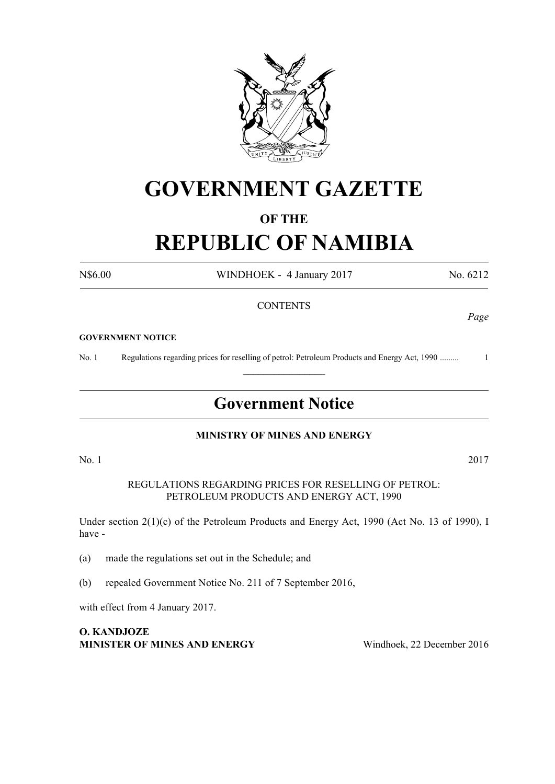

# **GOVERNMENT GAZETTE**

# **OF THE**

# **REPUBLIC OF NAMIBIA**

N\$6.00 WINDHOEK - 4 January 2017 No. 6212

## **CONTENTS**

#### **GOVERNMENT NOTICE**

No. 1 Regulations regarding prices for reselling of petrol: Petroleum Products and Energy Act, 1990 ......... 1  $\frac{1}{2}$ 

# **Government Notice**

#### **MINISTRY OF MINES AND ENERGY**

No. 1 2017

REGULATIONS REGARDING PRICES FOR RESELLING OF PETROL: PETROLEUM PRODUCTS AND ENERGY ACT, 1990

Under section 2(1)(c) of the Petroleum Products and Energy Act, 1990 (Act No. 13 of 1990), I have -

(a) made the regulations set out in the Schedule; and

(b) repealed Government Notice No. 211 of 7 September 2016,

with effect from 4 January 2017.

**O. KANDJOZE Minister of Mines and Energy** Windhoek, 22 December 2016

*Page*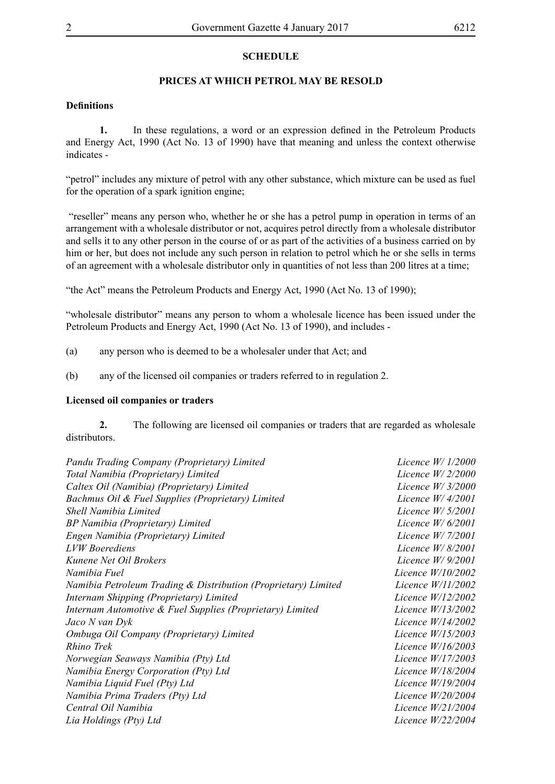### **SCHEDULE**

### **PRICES AT WHICH PETROL MAY BE RESOLD**

#### **Definitions**

**1.** In these regulations, a word or an expression defined in the Petroleum Products and Energy Act, 1990 (Act No. 13 of 1990) have that meaning and unless the context otherwise indicates -

"petrol" includes any mixture of petrol with any other substance, which mixture can be used as fuel for the operation of a spark ignition engine;

 "reseller" means any person who, whether he or she has a petrol pump in operation in terms of an arrangement with a wholesale distributor or not, acquires petrol directly from a wholesale distributor and sells it to any other person in the course of or as part of the activities of a business carried on by him or her, but does not include any such person in relation to petrol which he or she sells in terms of an agreement with a wholesale distributor only in quantities of not less than 200 litres at a time;

"the Act" means the Petroleum Products and Energy Act, 1990 (Act No. 13 of 1990);

"wholesale distributor" means any person to whom a wholesale licence has been issued under the Petroleum Products and Energy Act, 1990 (Act No. 13 of 1990), and includes -

- (a) any person who is deemed to be a wholesaler under that Act; and
- (b) any of the licensed oil companies or traders referred to in regulation 2.

#### **Licensed oil companies or traders**

**2.** The following are licensed oil companies or traders that are regarded as wholesale distributors.

| Pandu Trading Company (Proprietary) Limited                    | Licence $W/1/2000$  |
|----------------------------------------------------------------|---------------------|
| Total Namibia (Proprietary) Limited                            | Licence $W/2/2000$  |
| Caltex Oil (Namibia) (Proprietary) Limited                     | Licence $W/3/2000$  |
| Bachmus Oil & Fuel Supplies (Proprietary) Limited              | Licence $W/4/2001$  |
| Shell Namibia Limited                                          | Licence $W/5/2001$  |
| BP Namibia (Proprietary) Limited                               | Licence $W/6/2001$  |
| Engen Namibia (Proprietary) Limited                            | Licence W/ 7/2001   |
| <b>LVW</b> Boerediens                                          | Licence $W/8/2001$  |
| Kunene Net Oil Brokers                                         | Licence $W/9/2001$  |
| Namibia Fuel                                                   | Licence $W/10/2002$ |
| Namibia Petroleum Trading & Distribution (Proprietary) Limited | Licence $W/11/2002$ |
| Internam Shipping (Proprietary) Limited                        | Licence W/12/2002   |
| Internam Automotive & Fuel Supplies (Proprietary) Limited      | Licence W/13/2002   |
| Jaco N van Dyk                                                 | Licence W/14/2002   |
| Ombuga Oil Company (Proprietary) Limited                       | Licence $W/15/2003$ |
| Rhino Trek                                                     | Licence W/16/2003   |
| Norwegian Seaways Namibia (Pty) Ltd                            | Licence W/17/2003   |
| Namibia Energy Corporation (Pty) Ltd                           | Licence $W/18/2004$ |
| Namibia Liquid Fuel (Pty) Ltd                                  | Licence $W/19/2004$ |
| Namibia Prima Traders (Pty) Ltd                                | Licence $W/20/2004$ |
| Central Oil Namibia                                            | Licence W/21/2004   |
| Lia Holdings (Pty) Ltd                                         | Licence $W/22/2004$ |
|                                                                |                     |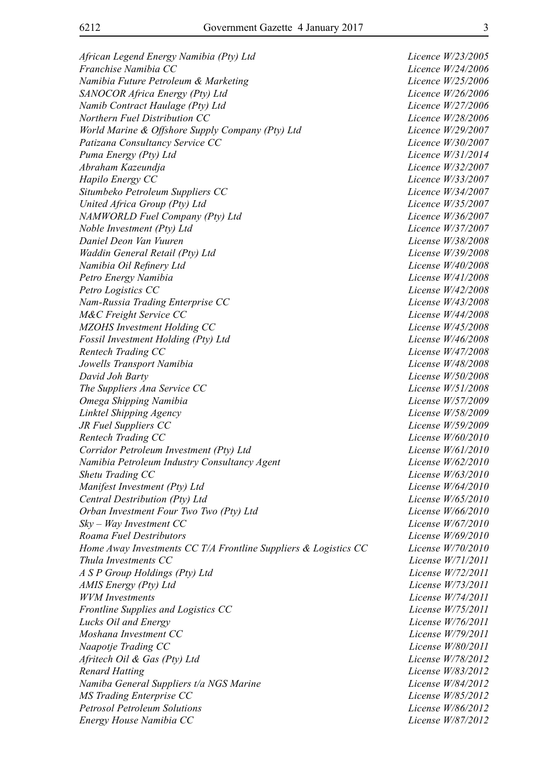*African Legend Energy Namibia (Pty) Ltd Licence W/23/2005 Franchise Namibia CC Licence W/24/2006 Namibia Future Petroleum & Marketing Licence W/25/2006 SANOCOR Africa Energy (Pty) Ltd Licence W/26/2006 Namib Contract Haulage (Pty) Ltd Licence W/27/2006 Northern Fuel Distribution CC Licence W/28/2006 World Marine & Offshore Supply Company (Pty) Ltd Licence W/29/2007 Patizana Consultancy Service CC Licence W/30/2007 Puma Energy (Pty) Ltd Licence W/31/2014 Abraham Kazeundja Licence W/32/2007 Hapilo Energy CC Licence W/33/2007 Situmbeko Petroleum Suppliers CC Licence W/34/2007 United Africa Group (Pty) Ltd Licence W/35/2007 NAMWORLD Fuel Company (Pty) Ltd Licence W/36/2007 Noble Investment (Pty) Ltd Licence W/37/2007 Daniel Deon Van Vuuren License W/38/2008 Waddin General Retail (Pty) Ltd License W/39/2008 Namibia Oil Refinery Ltd License W/40/2008 Petro Energy Namibia License W/41/2008 Petro Logistics CC License W/42/2008 Nam-Russia Trading Enterprise CC License W/43/2008 M&C Freight Service CC License W/44/2008 MZOHS Investment Holding CC License W/45/2008 Fossil Investment Holding (Pty) Ltd License W/46/2008 Rentech Trading CC License W/47/2008 Jowells Transport Namibia License W/48/2008 David Joh Barty License W/50/2008 The Suppliers Ana Service CC License W/51/2008 Omega Shipping Namibia License W/57/2009 Linktel Shipping Agency License W/58/2009 JR Fuel Suppliers CC License W/59/2009 Rentech Trading CC License W/60/2010 Corridor Petroleum Investment (Pty) Ltd License W/61/2010 Namibia Petroleum Industry Consultancy Agent License W/62/2010 Shetu Trading CC License W/63/2010 Manifest Investment (Pty) Ltd License W/64/2010 Central Destribution (Pty) Ltd License W/65/2010 Orban Investment Four Two Two (Pty) Ltd License W/66/2010 Sky – Way Investment CC License W/67/2010 Roama Fuel Destributors License W/69/2010 Home Away Investments CC T/A Frontline Suppliers & Logistics CC License W/70/2010 Thula Investments CC License W/71/2011 A S P Group Holdings (Pty) Ltd License W/72/2011 AMIS Energy (Pty) Ltd License W/73/2011 WVM Investments License W/74/2011 Frontline Supplies and Logistics CC License W/75/2011 Lucks Oil and Energy License W/76/2011 Moshana Investment CC License W/79/2011 Naapotje Trading CC License W/80/2011 Afritech Oil & Gas (Pty) Ltd License W/78/2012 Renard Hatting License W/83/2012 Namiba General Suppliers t/a NGS Marine License W/84/2012 MS Trading Enterprise CC License W/85/2012 Petrosol Petroleum Solutions License W/86/2012 Energy House Namibia CC License W/87/2012*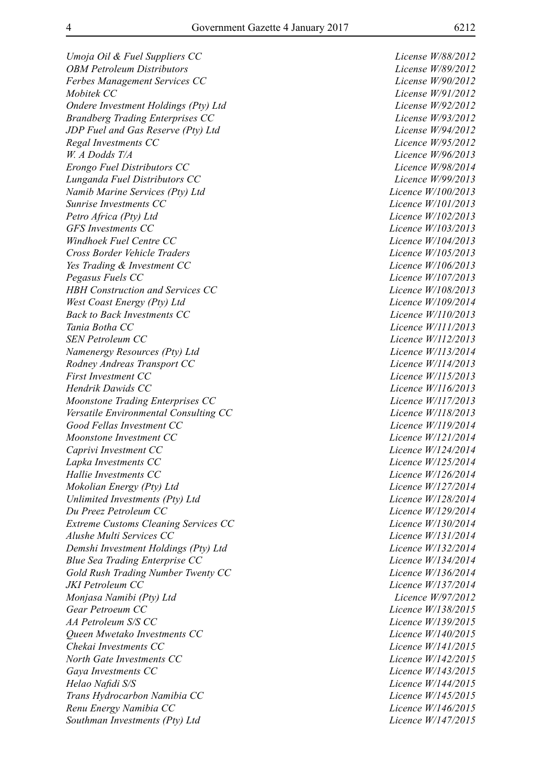*Umoja Oil & Fuel Suppliers CC License W/88/2012 OBM Petroleum Distributors License W/89/2012 Ferbes Management Services CC License W/90/2012 Mobitek CC License W/91/2012 Ondere Investment Holdings (Pty) Ltd License W/92/2012 Brandberg Trading Enterprises CC License W/93/2012 JDP Fuel and Gas Reserve (Pty) Ltd License W/94/2012 Regal Investments CC Licence W/95/2012 W. A Dodds T/A Licence W/96/2013 Erongo Fuel Distributors CC Licence W/98/2014 Lunganda Fuel Distributors CC Licence W/99/2013 Namib Marine Services (Pty) Ltd Licence W/100/2013 Sunrise Investments CC Licence W/101/2013 Petro Africa (Pty) Ltd Licence W/102/2013 GFS Investments CC Licence W/103/2013 Windhoek Fuel Centre CC Licence W/104/2013 Cross Border Vehicle Traders Licence W/105/2013 Yes Trading & Investment CC Licence W/106/2013 Pegasus Fuels CC Licence W/107/2013 HBH Construction and Services CC Licence W/108/2013 West Coast Energy (Pty) Ltd Licence W/109/2014 Back to Back Investments CC Licence W/110/2013 Tania Botha CC Licence W/111/2013 SEN Petroleum CC Licence W/112/2013 Namenergy Resources (Pty) Ltd Licence W/113/2014 Rodney Andreas Transport CC Licence W/114/2013 First Investment CC Licence W/115/2013 Hendrik Dawids CC Licence W/116/2013 Moonstone Trading Enterprises CC Licence W/117/2013 Versatile Environmental Consulting CC Licence W/118/2013 Good Fellas Investment CC Licence W/119/2014 Moonstone Investment CC Licence W/121/2014 Caprivi Investment CC Licence W/124/2014 Lapka Investments CC Licence W/125/2014 Hallie Investments CC Licence W/126/2014 Mokolian Energy (Pty) Ltd Licence W/127/2014 Unlimited Investments (Pty) Ltd Licence W/128/2014 Du Preez Petroleum CC Licence W/129/2014 Extreme Customs Cleaning Services CC Licence W/130/2014 Alushe Multi Services CC Licence W/131/2014 Demshi Investment Holdings (Pty) Ltd Licence W/132/2014 Blue Sea Trading Enterprise CC Licence W/134/2014 Gold Rush Trading Number Twenty CC Licence W/136/2014 JKI Petroleum CC Licence W/137/2014 Monjasa Namibi (Pty) Ltd Licence W/97/2012 Gear Petroeum CC Licence W/138/2015 AA Petroleum S/S CC Licence W/139/2015 Queen Mwetako Investments CC* Licence W/140/2015 *Chekai Investments CC Licence W/141/2015 North Gate Investments CC Licence W/142/2015 Gaya Investments CC Licence W/143/2015 Helao Nafidi S/S Licence W/144/2015 Trans Hydrocarbon Namibia CC Licence W/145/2015 Renu Energy Namibia CC Licence W/146/2015 Southman Investments (Pty) Ltd Licence W/147/2015*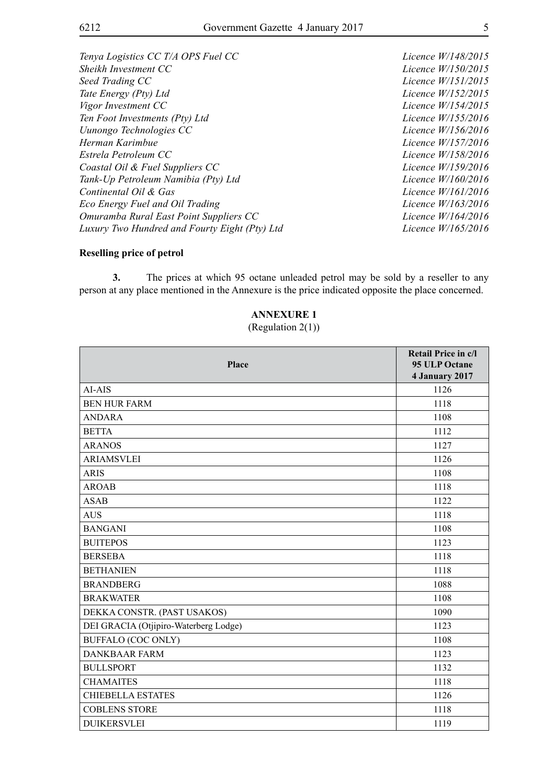*Tenya Logistics CC T/A OPS Fuel CC Licence W/148/2015 Sheikh Investment CC Licence W/150/2015 Seed Trading CC Licence W/151/2015 Tate Energy (Pty) Ltd Licence W/152/2015 Vigor Investment CC Licence W/154/2015 Ten Foot Investments (Pty) Ltd Licence W/155/2016 Uunongo Technologies CC Licence W/156/2016 Herman Karimbue Licence W/157/2016 Estrela Petroleum CC Licence W/158/2016 Coastal Oil & Fuel Suppliers CC Licence W/159/2016 Tank-Up Petroleum Namibia (Pty) Ltd Licence W/160/2016 Continental Oil & Gas Licence W/161/2016 Eco Energy Fuel and Oil Trading Licence W/163/2016 Omuramba Rural East Point Suppliers CC Licence W/164/2016 Luxury Two Hundred and Fourty Eight (Pty) Ltd Licence W/165/2016*

#### **Reselling price of petrol**

**3.** The prices at which 95 octane unleaded petrol may be sold by a reseller to any person at any place mentioned in the Annexure is the price indicated opposite the place concerned.

## **ANNEXURE 1**

#### (Regulation 2(1))

| <b>Place</b>                          | Retail Price in c/l<br>95 ULP Octane<br>4 January 2017 |
|---------------------------------------|--------------------------------------------------------|
| AI-AIS                                | 1126                                                   |
| <b>BEN HUR FARM</b>                   | 1118                                                   |
| <b>ANDARA</b>                         | 1108                                                   |
| <b>BETTA</b>                          | 1112                                                   |
| <b>ARANOS</b>                         | 1127                                                   |
| <b>ARIAMSVLEI</b>                     | 1126                                                   |
| <b>ARIS</b>                           | 1108                                                   |
| <b>AROAB</b>                          | 1118                                                   |
| <b>ASAB</b>                           | 1122                                                   |
| <b>AUS</b>                            | 1118                                                   |
| <b>BANGANI</b>                        | 1108                                                   |
| <b>BUITEPOS</b>                       | 1123                                                   |
| <b>BERSEBA</b>                        | 1118                                                   |
| <b>BETHANIEN</b>                      | 1118                                                   |
| <b>BRANDBERG</b>                      | 1088                                                   |
| <b>BRAKWATER</b>                      | 1108                                                   |
| DEKKA CONSTR. (PAST USAKOS)           | 1090                                                   |
| DEI GRACIA (Otjipiro-Waterberg Lodge) | 1123                                                   |
| <b>BUFFALO (COC ONLY)</b>             | 1108                                                   |
| <b>DANKBAAR FARM</b>                  | 1123                                                   |
| <b>BULLSPORT</b>                      | 1132                                                   |
| <b>CHAMAITES</b>                      | 1118                                                   |
| <b>CHIEBELLA ESTATES</b>              | 1126                                                   |
| <b>COBLENS STORE</b>                  | 1118                                                   |
| <b>DUIKERSVLEI</b>                    | 1119                                                   |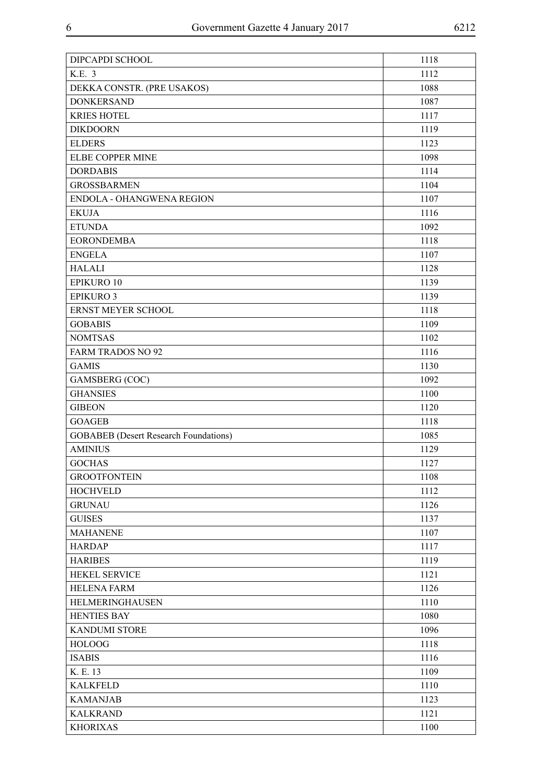| DIPCAPDI SCHOOL                              | 1118 |
|----------------------------------------------|------|
| K.E. 3                                       | 1112 |
| DEKKA CONSTR. (PRE USAKOS)                   | 1088 |
| <b>DONKERSAND</b>                            | 1087 |
| <b>KRIES HOTEL</b>                           | 1117 |
| <b>DIKDOORN</b>                              | 1119 |
| <b>ELDERS</b>                                | 1123 |
| ELBE COPPER MINE                             | 1098 |
| <b>DORDABIS</b>                              | 1114 |
| <b>GROSSBARMEN</b>                           | 1104 |
| ENDOLA - OHANGWENA REGION                    | 1107 |
| <b>EKUJA</b>                                 | 1116 |
| <b>ETUNDA</b>                                | 1092 |
| <b>EORONDEMBA</b>                            | 1118 |
| <b>ENGELA</b>                                | 1107 |
| <b>HALALI</b>                                | 1128 |
| <b>EPIKURO 10</b>                            | 1139 |
| <b>EPIKURO 3</b>                             | 1139 |
| ERNST MEYER SCHOOL                           | 1118 |
| <b>GOBABIS</b>                               | 1109 |
| <b>NOMTSAS</b>                               | 1102 |
| <b>FARM TRADOS NO 92</b>                     | 1116 |
| <b>GAMIS</b>                                 | 1130 |
| GAMSBERG (COC)                               | 1092 |
| <b>GHANSIES</b>                              | 1100 |
| <b>GIBEON</b>                                | 1120 |
| <b>GOAGEB</b>                                | 1118 |
| <b>GOBABEB</b> (Desert Research Foundations) | 1085 |
| <b>AMINIUS</b>                               | 1129 |
| <b>GOCHAS</b>                                | 1127 |
| <b>GROOTFONTEIN</b>                          | 1108 |
| <b>HOCHVELD</b>                              | 1112 |
| <b>GRUNAU</b>                                | 1126 |
| <b>GUISES</b>                                | 1137 |
| <b>MAHANENE</b>                              | 1107 |
| <b>HARDAP</b>                                | 1117 |
| <b>HARIBES</b>                               | 1119 |
| HEKEL SERVICE                                | 1121 |
| <b>HELENA FARM</b>                           | 1126 |
| HELMERINGHAUSEN                              | 1110 |
| <b>HENTIES BAY</b>                           | 1080 |
| <b>KANDUMI STORE</b>                         | 1096 |
| <b>HOLOOG</b>                                | 1118 |
| <b>ISABIS</b>                                | 1116 |
| K. E. 13                                     | 1109 |
| <b>KALKFELD</b>                              | 1110 |
| <b>KAMANJAB</b>                              | 1123 |
| <b>KALKRAND</b>                              | 1121 |
| <b>KHORIXAS</b>                              | 1100 |
|                                              |      |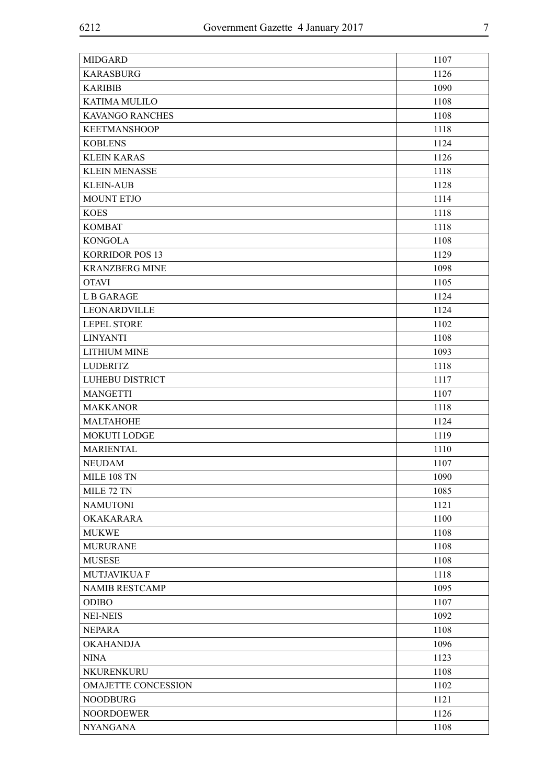| <b>MIDGARD</b>         | 1107 |
|------------------------|------|
| <b>KARASBURG</b>       | 1126 |
| <b>KARIBIB</b>         | 1090 |
| KATIMA MULILO          | 1108 |
| KAVANGO RANCHES        | 1108 |
| <b>KEETMANSHOOP</b>    | 1118 |
| <b>KOBLENS</b>         | 1124 |
| <b>KLEIN KARAS</b>     | 1126 |
| <b>KLEIN MENASSE</b>   | 1118 |
| <b>KLEIN-AUB</b>       | 1128 |
| MOUNT ETJO             | 1114 |
| <b>KOES</b>            | 1118 |
| <b>KOMBAT</b>          | 1118 |
| <b>KONGOLA</b>         | 1108 |
| <b>KORRIDOR POS 13</b> | 1129 |
| <b>KRANZBERG MINE</b>  | 1098 |
| <b>OTAVI</b>           | 1105 |
| L B GARAGE             | 1124 |
| LEONARDVILLE           | 1124 |
| <b>LEPEL STORE</b>     | 1102 |
| <b>LINYANTI</b>        | 1108 |
| <b>LITHIUM MINE</b>    | 1093 |
| <b>LUDERITZ</b>        | 1118 |
| LUHEBU DISTRICT        | 1117 |
| <b>MANGETTI</b>        | 1107 |
| <b>MAKKANOR</b>        | 1118 |
| MALTAHOHE              | 1124 |
| <b>MOKUTI LODGE</b>    | 1119 |
| <b>MARIENTAL</b>       | 1110 |
| <b>NEUDAM</b>          | 1107 |
| <b>MILE 108 TN</b>     | 1090 |
| MILE 72 TN             | 1085 |
| <b>NAMUTONI</b>        | 1121 |
| <b>OKAKARARA</b>       | 1100 |
| <b>MUKWE</b>           | 1108 |
| <b>MURURANE</b>        | 1108 |
| <b>MUSESE</b>          | 1108 |
| <b>MUTJAVIKUA F</b>    | 1118 |
| <b>NAMIB RESTCAMP</b>  | 1095 |
| <b>ODIBO</b>           | 1107 |
| <b>NEI-NEIS</b>        | 1092 |
| <b>NEPARA</b>          | 1108 |
| <b>OKAHANDJA</b>       | 1096 |
| <b>NINA</b>            | 1123 |
| NKURENKURU             | 1108 |
| OMAJETTE CONCESSION    | 1102 |
| <b>NOODBURG</b>        | 1121 |
| <b>NOORDOEWER</b>      | 1126 |
| <b>NYANGANA</b>        | 1108 |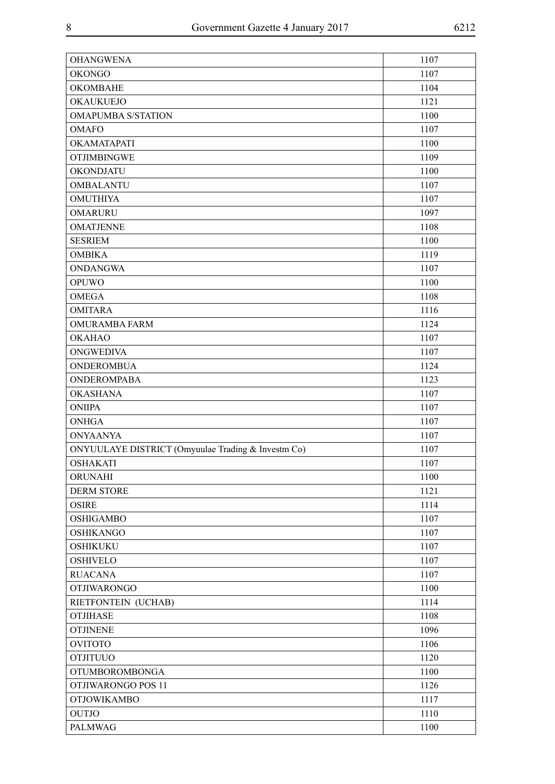| <b>OHANGWENA</b>                                   | 1107 |
|----------------------------------------------------|------|
| <b>OKONGO</b>                                      | 1107 |
| <b>OKOMBAHE</b>                                    | 1104 |
| OKAUKUEJO                                          | 1121 |
| <b>OMAPUMBA S/STATION</b>                          | 1100 |
| <b>OMAFO</b>                                       | 1107 |
| OKAMATAPATI                                        | 1100 |
| <b>OTJIMBINGWE</b>                                 | 1109 |
| <b>OKONDJATU</b>                                   | 1100 |
| <b>OMBALANTU</b>                                   | 1107 |
| <b>OMUTHIYA</b>                                    | 1107 |
| <b>OMARURU</b>                                     | 1097 |
| <b>OMATJENNE</b>                                   | 1108 |
| <b>SESRIEM</b>                                     | 1100 |
| <b>OMBIKA</b>                                      | 1119 |
| <b>ONDANGWA</b>                                    | 1107 |
| <b>OPUWO</b>                                       | 1100 |
| <b>OMEGA</b>                                       | 1108 |
| <b>OMITARA</b>                                     | 1116 |
| <b>OMURAMBA FARM</b>                               | 1124 |
| <b>OKAHAO</b>                                      | 1107 |
| <b>ONGWEDIVA</b>                                   | 1107 |
| <b>ONDEROMBUA</b>                                  | 1124 |
| <b>ONDEROMPABA</b>                                 | 1123 |
| <b>OKASHANA</b>                                    | 1107 |
| <b>ONIIPA</b>                                      | 1107 |
| <b>ONHGA</b>                                       | 1107 |
| <b>ONYAANYA</b>                                    | 1107 |
| ONYUULAYE DISTRICT (Omyuulae Trading & Investm Co) | 1107 |
| <b>OSHAKATI</b>                                    | 1107 |
| ORUNAHI                                            | 1100 |
| <b>DERM STORE</b>                                  | 1121 |
| <b>OSIRE</b>                                       | 1114 |
| <b>OSHIGAMBO</b>                                   | 1107 |
| <b>OSHIKANGO</b>                                   | 1107 |
| <b>OSHIKUKU</b>                                    | 1107 |
| <b>OSHIVELO</b>                                    | 1107 |
| <b>RUACANA</b>                                     | 1107 |
| <b>OTJIWARONGO</b>                                 | 1100 |
| RIETFONTEIN (UCHAB)                                | 1114 |
| <b>OTJIHASE</b>                                    | 1108 |
| <b>OTJINENE</b>                                    | 1096 |
| <b>OVITOTO</b>                                     | 1106 |
| <b>OTJITUUO</b>                                    | 1120 |
| <b>OTUMBOROMBONGA</b>                              | 1100 |
| OTJIWARONGO POS 11                                 | 1126 |
| <b>OTJOWIKAMBO</b>                                 | 1117 |
| <b>OUTJO</b>                                       | 1110 |
| <b>PALMWAG</b>                                     | 1100 |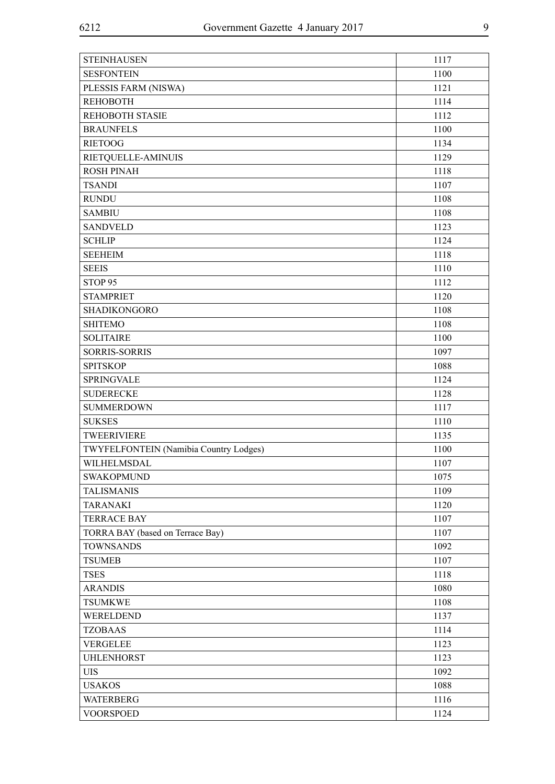| 1100<br><b>SESFONTEIN</b><br>PLESSIS FARM (NISWA)<br>1121<br><b>REHOBOTH</b><br>1114<br><b>REHOBOTH STASIE</b><br>1112<br>1100<br><b>BRAUNFELS</b><br><b>RIETOOG</b><br>1134<br>1129<br>RIETQUELLE-AMINUIS<br><b>ROSH PINAH</b><br>1118<br>1107<br><b>TSANDI</b><br><b>RUNDU</b><br>1108<br>1108<br><b>SAMBIU</b><br><b>SANDVELD</b><br>1123<br><b>SCHLIP</b><br>1124<br>1118<br><b>SEEHEIM</b><br><b>SEEIS</b><br>1110<br>STOP <sub>95</sub><br>1112<br><b>STAMPRIET</b><br>1120<br><b>SHADIKONGORO</b><br>1108<br><b>SHITEMO</b><br>1108<br><b>SOLITAIRE</b><br>1100<br><b>SORRIS-SORRIS</b><br>1097<br>1088<br><b>SPITSKOP</b><br><b>SPRINGVALE</b><br>1124<br><b>SUDERECKE</b><br>1128<br><b>SUMMERDOWN</b><br>1117<br><b>SUKSES</b><br>1110<br>TWEERIVIERE<br>1135<br>TWYFELFONTEIN (Namibia Country Lodges)<br>1100<br>WILHELMSDAL<br>1107<br><b>SWAKOPMUND</b><br>1075<br><b>TALISMANIS</b><br>1109<br><b>TARANAKI</b><br>1120<br><b>TERRACE BAY</b><br>1107<br>TORRA BAY (based on Terrace Bay)<br>1107<br><b>TOWNSANDS</b><br>1092<br><b>TSUMEB</b><br>1107<br><b>TSES</b><br>1118<br><b>ARANDIS</b><br>1080<br><b>TSUMKWE</b><br>1108<br>1137<br>WERELDEND<br><b>TZOBAAS</b><br>1114<br><b>VERGELEE</b><br>1123<br><b>UHLENHORST</b><br>1123<br><b>UIS</b><br>1092<br><b>USAKOS</b><br>1088<br><b>WATERBERG</b><br>1116<br><b>VOORSPOED</b><br>1124 | <b>STEINHAUSEN</b> | 1117 |
|---------------------------------------------------------------------------------------------------------------------------------------------------------------------------------------------------------------------------------------------------------------------------------------------------------------------------------------------------------------------------------------------------------------------------------------------------------------------------------------------------------------------------------------------------------------------------------------------------------------------------------------------------------------------------------------------------------------------------------------------------------------------------------------------------------------------------------------------------------------------------------------------------------------------------------------------------------------------------------------------------------------------------------------------------------------------------------------------------------------------------------------------------------------------------------------------------------------------------------------------------------------------------------------------------------------------------------------------------------------|--------------------|------|
|                                                                                                                                                                                                                                                                                                                                                                                                                                                                                                                                                                                                                                                                                                                                                                                                                                                                                                                                                                                                                                                                                                                                                                                                                                                                                                                                                               |                    |      |
|                                                                                                                                                                                                                                                                                                                                                                                                                                                                                                                                                                                                                                                                                                                                                                                                                                                                                                                                                                                                                                                                                                                                                                                                                                                                                                                                                               |                    |      |
|                                                                                                                                                                                                                                                                                                                                                                                                                                                                                                                                                                                                                                                                                                                                                                                                                                                                                                                                                                                                                                                                                                                                                                                                                                                                                                                                                               |                    |      |
|                                                                                                                                                                                                                                                                                                                                                                                                                                                                                                                                                                                                                                                                                                                                                                                                                                                                                                                                                                                                                                                                                                                                                                                                                                                                                                                                                               |                    |      |
|                                                                                                                                                                                                                                                                                                                                                                                                                                                                                                                                                                                                                                                                                                                                                                                                                                                                                                                                                                                                                                                                                                                                                                                                                                                                                                                                                               |                    |      |
|                                                                                                                                                                                                                                                                                                                                                                                                                                                                                                                                                                                                                                                                                                                                                                                                                                                                                                                                                                                                                                                                                                                                                                                                                                                                                                                                                               |                    |      |
|                                                                                                                                                                                                                                                                                                                                                                                                                                                                                                                                                                                                                                                                                                                                                                                                                                                                                                                                                                                                                                                                                                                                                                                                                                                                                                                                                               |                    |      |
|                                                                                                                                                                                                                                                                                                                                                                                                                                                                                                                                                                                                                                                                                                                                                                                                                                                                                                                                                                                                                                                                                                                                                                                                                                                                                                                                                               |                    |      |
|                                                                                                                                                                                                                                                                                                                                                                                                                                                                                                                                                                                                                                                                                                                                                                                                                                                                                                                                                                                                                                                                                                                                                                                                                                                                                                                                                               |                    |      |
|                                                                                                                                                                                                                                                                                                                                                                                                                                                                                                                                                                                                                                                                                                                                                                                                                                                                                                                                                                                                                                                                                                                                                                                                                                                                                                                                                               |                    |      |
|                                                                                                                                                                                                                                                                                                                                                                                                                                                                                                                                                                                                                                                                                                                                                                                                                                                                                                                                                                                                                                                                                                                                                                                                                                                                                                                                                               |                    |      |
|                                                                                                                                                                                                                                                                                                                                                                                                                                                                                                                                                                                                                                                                                                                                                                                                                                                                                                                                                                                                                                                                                                                                                                                                                                                                                                                                                               |                    |      |
|                                                                                                                                                                                                                                                                                                                                                                                                                                                                                                                                                                                                                                                                                                                                                                                                                                                                                                                                                                                                                                                                                                                                                                                                                                                                                                                                                               |                    |      |
|                                                                                                                                                                                                                                                                                                                                                                                                                                                                                                                                                                                                                                                                                                                                                                                                                                                                                                                                                                                                                                                                                                                                                                                                                                                                                                                                                               |                    |      |
|                                                                                                                                                                                                                                                                                                                                                                                                                                                                                                                                                                                                                                                                                                                                                                                                                                                                                                                                                                                                                                                                                                                                                                                                                                                                                                                                                               |                    |      |
|                                                                                                                                                                                                                                                                                                                                                                                                                                                                                                                                                                                                                                                                                                                                                                                                                                                                                                                                                                                                                                                                                                                                                                                                                                                                                                                                                               |                    |      |
|                                                                                                                                                                                                                                                                                                                                                                                                                                                                                                                                                                                                                                                                                                                                                                                                                                                                                                                                                                                                                                                                                                                                                                                                                                                                                                                                                               |                    |      |
|                                                                                                                                                                                                                                                                                                                                                                                                                                                                                                                                                                                                                                                                                                                                                                                                                                                                                                                                                                                                                                                                                                                                                                                                                                                                                                                                                               |                    |      |
|                                                                                                                                                                                                                                                                                                                                                                                                                                                                                                                                                                                                                                                                                                                                                                                                                                                                                                                                                                                                                                                                                                                                                                                                                                                                                                                                                               |                    |      |
|                                                                                                                                                                                                                                                                                                                                                                                                                                                                                                                                                                                                                                                                                                                                                                                                                                                                                                                                                                                                                                                                                                                                                                                                                                                                                                                                                               |                    |      |
|                                                                                                                                                                                                                                                                                                                                                                                                                                                                                                                                                                                                                                                                                                                                                                                                                                                                                                                                                                                                                                                                                                                                                                                                                                                                                                                                                               |                    |      |
|                                                                                                                                                                                                                                                                                                                                                                                                                                                                                                                                                                                                                                                                                                                                                                                                                                                                                                                                                                                                                                                                                                                                                                                                                                                                                                                                                               |                    |      |
|                                                                                                                                                                                                                                                                                                                                                                                                                                                                                                                                                                                                                                                                                                                                                                                                                                                                                                                                                                                                                                                                                                                                                                                                                                                                                                                                                               |                    |      |
|                                                                                                                                                                                                                                                                                                                                                                                                                                                                                                                                                                                                                                                                                                                                                                                                                                                                                                                                                                                                                                                                                                                                                                                                                                                                                                                                                               |                    |      |
|                                                                                                                                                                                                                                                                                                                                                                                                                                                                                                                                                                                                                                                                                                                                                                                                                                                                                                                                                                                                                                                                                                                                                                                                                                                                                                                                                               |                    |      |
|                                                                                                                                                                                                                                                                                                                                                                                                                                                                                                                                                                                                                                                                                                                                                                                                                                                                                                                                                                                                                                                                                                                                                                                                                                                                                                                                                               |                    |      |
|                                                                                                                                                                                                                                                                                                                                                                                                                                                                                                                                                                                                                                                                                                                                                                                                                                                                                                                                                                                                                                                                                                                                                                                                                                                                                                                                                               |                    |      |
|                                                                                                                                                                                                                                                                                                                                                                                                                                                                                                                                                                                                                                                                                                                                                                                                                                                                                                                                                                                                                                                                                                                                                                                                                                                                                                                                                               |                    |      |
|                                                                                                                                                                                                                                                                                                                                                                                                                                                                                                                                                                                                                                                                                                                                                                                                                                                                                                                                                                                                                                                                                                                                                                                                                                                                                                                                                               |                    |      |
|                                                                                                                                                                                                                                                                                                                                                                                                                                                                                                                                                                                                                                                                                                                                                                                                                                                                                                                                                                                                                                                                                                                                                                                                                                                                                                                                                               |                    |      |
|                                                                                                                                                                                                                                                                                                                                                                                                                                                                                                                                                                                                                                                                                                                                                                                                                                                                                                                                                                                                                                                                                                                                                                                                                                                                                                                                                               |                    |      |
|                                                                                                                                                                                                                                                                                                                                                                                                                                                                                                                                                                                                                                                                                                                                                                                                                                                                                                                                                                                                                                                                                                                                                                                                                                                                                                                                                               |                    |      |
|                                                                                                                                                                                                                                                                                                                                                                                                                                                                                                                                                                                                                                                                                                                                                                                                                                                                                                                                                                                                                                                                                                                                                                                                                                                                                                                                                               |                    |      |
|                                                                                                                                                                                                                                                                                                                                                                                                                                                                                                                                                                                                                                                                                                                                                                                                                                                                                                                                                                                                                                                                                                                                                                                                                                                                                                                                                               |                    |      |
|                                                                                                                                                                                                                                                                                                                                                                                                                                                                                                                                                                                                                                                                                                                                                                                                                                                                                                                                                                                                                                                                                                                                                                                                                                                                                                                                                               |                    |      |
|                                                                                                                                                                                                                                                                                                                                                                                                                                                                                                                                                                                                                                                                                                                                                                                                                                                                                                                                                                                                                                                                                                                                                                                                                                                                                                                                                               |                    |      |
|                                                                                                                                                                                                                                                                                                                                                                                                                                                                                                                                                                                                                                                                                                                                                                                                                                                                                                                                                                                                                                                                                                                                                                                                                                                                                                                                                               |                    |      |
|                                                                                                                                                                                                                                                                                                                                                                                                                                                                                                                                                                                                                                                                                                                                                                                                                                                                                                                                                                                                                                                                                                                                                                                                                                                                                                                                                               |                    |      |
|                                                                                                                                                                                                                                                                                                                                                                                                                                                                                                                                                                                                                                                                                                                                                                                                                                                                                                                                                                                                                                                                                                                                                                                                                                                                                                                                                               |                    |      |
|                                                                                                                                                                                                                                                                                                                                                                                                                                                                                                                                                                                                                                                                                                                                                                                                                                                                                                                                                                                                                                                                                                                                                                                                                                                                                                                                                               |                    |      |
|                                                                                                                                                                                                                                                                                                                                                                                                                                                                                                                                                                                                                                                                                                                                                                                                                                                                                                                                                                                                                                                                                                                                                                                                                                                                                                                                                               |                    |      |
|                                                                                                                                                                                                                                                                                                                                                                                                                                                                                                                                                                                                                                                                                                                                                                                                                                                                                                                                                                                                                                                                                                                                                                                                                                                                                                                                                               |                    |      |
|                                                                                                                                                                                                                                                                                                                                                                                                                                                                                                                                                                                                                                                                                                                                                                                                                                                                                                                                                                                                                                                                                                                                                                                                                                                                                                                                                               |                    |      |
|                                                                                                                                                                                                                                                                                                                                                                                                                                                                                                                                                                                                                                                                                                                                                                                                                                                                                                                                                                                                                                                                                                                                                                                                                                                                                                                                                               |                    |      |
|                                                                                                                                                                                                                                                                                                                                                                                                                                                                                                                                                                                                                                                                                                                                                                                                                                                                                                                                                                                                                                                                                                                                                                                                                                                                                                                                                               |                    |      |
|                                                                                                                                                                                                                                                                                                                                                                                                                                                                                                                                                                                                                                                                                                                                                                                                                                                                                                                                                                                                                                                                                                                                                                                                                                                                                                                                                               |                    |      |
|                                                                                                                                                                                                                                                                                                                                                                                                                                                                                                                                                                                                                                                                                                                                                                                                                                                                                                                                                                                                                                                                                                                                                                                                                                                                                                                                                               |                    |      |